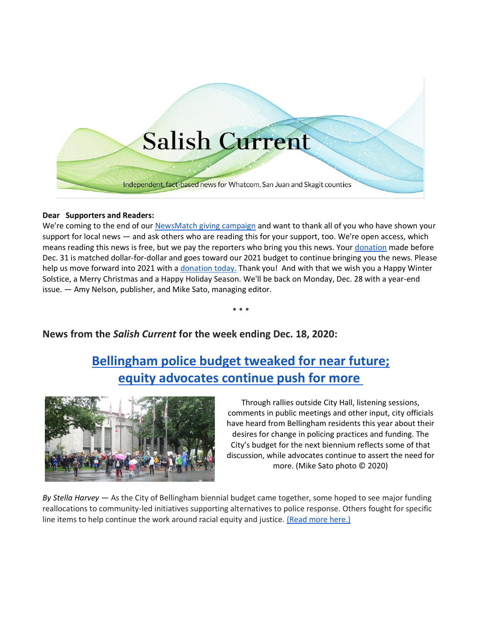

## **Dear Supporters and Readers:**

We're coming to the end of our [NewsMatch giving campaign](https://salish-current.org/donate) and want to thank all of you who have shown your support for local news — and ask others who are reading this for your support, too. We're open access, which means reading this news is free, but we pay the reporters who bring you this news. Your [donation](https://salish-current.org/donate) made before Dec. 31 is matched dollar-for-dollar and goes toward our 2021 budget to continue bringing you the news. Please help us move forward into 2021 with a [donation today.](https://salish-current.org/donate) Thank you! And with that we wish you a Happy Winter Solstice, a Merry Christmas and a Happy Holiday Season. We'll be back on Monday, Dec. 28 with a year-end issue. — Amy Nelson, publisher, and Mike Sato, managing editor.

\* \* \*

## **News from the** *Salish Current* **for the week ending Dec. 18, 2020:**

## **[Bellingham police budget tweaked for near future;](https://salish-current.org/2020/12/18/bellingham-police-budget-tweaked-for-near-future-equity-advocates-continue-push-for-more/) [equity advocates continue push for more](https://salish-current.org/2020/12/18/bellingham-police-budget-tweaked-for-near-future-equity-advocates-continue-push-for-more/)**



Through rallies outside City Hall, listening sessions, comments in public meetings and other input, city officials have heard from Bellingham residents this year about their desires for change in policing practices and funding. The City's budget for the next biennium reflects some of that discussion, while advocates continue to assert the need for more. (Mike Sato photo © 2020)

*By Stella Harvey* — As the City of Bellingham biennial budget came together, some hoped to see major funding reallocations to community-led initiatives supporting alternatives to police response. Others fought for specific line items to help continue the work around racial equity and justice. [\(Read more here.\)](https://salish-current.org/2020/12/18/bellingham-police-budget-tweaked-for-near-future-equity-advocates-continue-push-for-more/)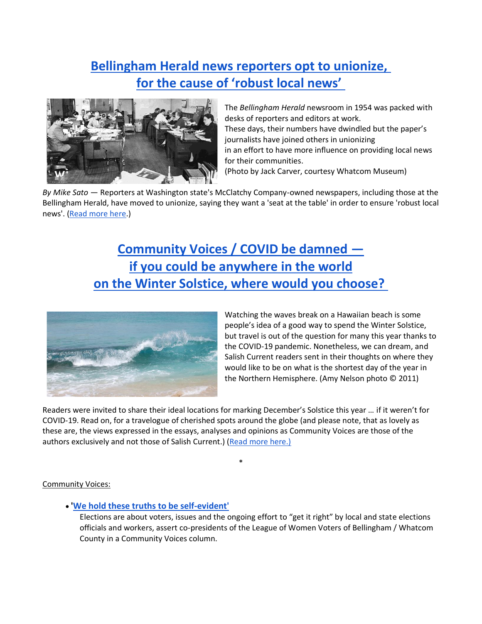## **[Bellingham Herald news reporters opt to unionize,](https://salish-current.org/2020/12/18/bellingham-herald-news-reporters-opt-to-unionize-for-the-cause-of-robust-local-news/) [for the cause of 'robust local news'](https://salish-current.org/2020/12/18/bellingham-herald-news-reporters-opt-to-unionize-for-the-cause-of-robust-local-news/)**



The *Bellingham Herald* newsroom in 1954 was packed with desks of reporters and editors at work. These days, their numbers have dwindled but the paper's journalists have joined others in unionizing in an effort to have more influence on providing local news for their communities. (Photo by Jack Carver, courtesy Whatcom Museum)

*By Mike Sato* — Reporters at Washington state's McClatchy Company-owned newspapers, including those at the Bellingham Herald, have moved to unionize, saying they want a 'seat at the table' in order to ensure 'robust local news'. [\(Read more here.](https://salish-current.org/2020/12/18/bellingham-herald-news-reporters-opt-to-unionize-for-the-cause-of-robust-local-news/))

# **[Community Voices / COVID be damned](https://salish-current.org/2020/12/18/community-voices-covid-be-damned-if-you-could-be-anywhere-in-the-world-on-the-winter-solstice-where-would-you-choose/)  [if you could be anywhere](https://salish-current.org/2020/12/18/community-voices-covid-be-damned-if-you-could-be-anywhere-in-the-world-on-the-winter-solstice-where-would-you-choose/) in the world [on the Winter Solstice, where would you choose?](https://salish-current.org/2020/12/18/community-voices-covid-be-damned-if-you-could-be-anywhere-in-the-world-on-the-winter-solstice-where-would-you-choose/)**



Watching the waves break on a Hawaiian beach is some people's idea of a good way to spend the Winter Solstice, but travel is out of the question for many this year thanks to the COVID-19 pandemic. Nonetheless, we can dream, and Salish Current readers sent in their thoughts on where they would like to be on what is the shortest day of the year in the Northern Hemisphere. (Amy Nelson photo © 2011)

Readers were invited to share their ideal locations for marking December's Solstice this year … if it weren't for COVID-19. Read on, for a travelogue of cherished spots around the globe (and please note, that as lovely as these are, the views expressed in the essays, analyses and opinions as Community Voices are those of the authors exclusively and not those of Salish Current.) [\(Read more here.\)](https://salish-current.org/2020/12/18/community-voices-covid-be-damned-if-you-could-be-anywhere-in-the-world-on-the-winter-solstice-where-would-you-choose/)

\*

## Community Voices:

• **['We hold these truths to be self-evident'](https://salish-current.org/2020/12/18/community-voices-we-hold-these-truths-to-be-self-evident/)**

Elections are about voters, issues and the ongoing effort to "get it right" by local and state elections officials and workers, assert co-presidents of the League of Women Voters of Bellingham / Whatcom County in a Community Voices column.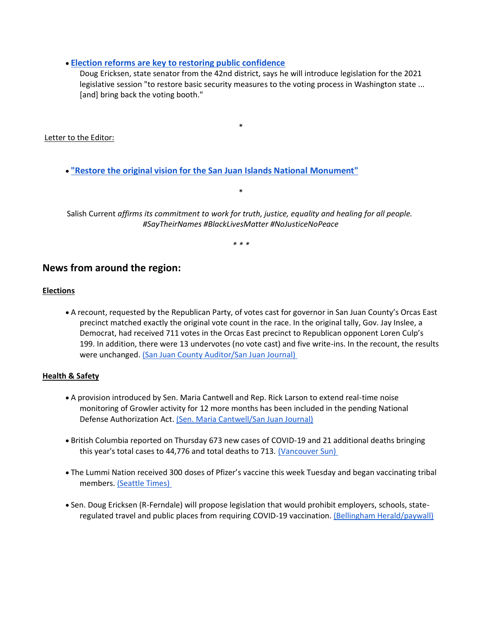## • **[Election reforms are key to restoring public confidence](https://salish-current.org/2020/12/18/community-voices-election-reforms-are-key-to-restoring-public-confidence/)**

Doug Ericksen, state senator from the 42nd district, says he will introduce legislation for the 2021 legislative session "to restore basic security measures to the voting process in Washington state ... [and] bring back the voting booth."

\*

Letter to the Editor:

• **["Restore the original vision for the San Juan Islands National Monument"](https://salish-current.org/letters-to-the-editor/)**

Salish Current *affirms its commitment to work for truth, justice, equality and healing for all people. #SayTheirNames #BlackLivesMatter #NoJusticeNoPeace*

\*

*\* \* \**

## **News from around the region:**

## **Elections**

• A recount, requested by the Republican Party, of votes cast for governor in San Juan County's Orcas East precinct matched exactly the original vote count in the race. In the original tally, Gov. Jay Inslee, a Democrat, had received 711 votes in the Orcas East precinct to Republican opponent Loren Culp's 199. In addition, there were 13 undervotes (no vote cast) and five write-ins. In the recount, the results were unchanged. [\(San Juan County Auditor/San Juan Journal\)](https://www.sanjuanjournal.com/news/recount-reaffirms-inslees-win-in-orcas-east-precinct/)

## **Health & Safety**

- A provision introduced by Sen. Maria Cantwell and Rep. Rick Larson to extend real-time noise monitoring of Growler activity for 12 more months has been included in the pending National Defense Authorization Act. [\(Sen. Maria Cantwell/San Juan Journal\)](https://www.sanjuanjournal.com/news/cantwell-larsen-provision-to-extend-growler-noise-monitoring-passes-house-as-part-of-final-ndaa/)
- British Columbia reported on Thursday 673 new cases of COVID-19 and 21 additional deaths bringing this year's total cases to 44,776 and total deaths to 713. [\(Vancouver Sun\)](https://vancouversun.com/news/local-news/covid-19-deaths-reach-700-as-b-c-health-officials-confirm-673-new-cases)
- The Lummi Nation received 300 doses of Pfizer's vaccine this week Tuesday and began vaccinating tribal members. [\(Seattle Times\)](https://www.seattletimes.com/seattle-news/lummi-nation-begins-covid-19-vaccinations-starting-with-300-doses/?utm_source=referral&utm_medium=mobile-app&utm_campaign=ios)
- Sen. Doug Ericksen (R-Ferndale) will propose legislation that would prohibit employers, schools, stateregulated travel and public places from requiring COVID-19 vaccination. [\(Bellingham Herald/paywall\)](https://www.bellinghamherald.com/news/coronavirus/article247929735.html?ac_cid=DM346320&ac_bid=-1111315769)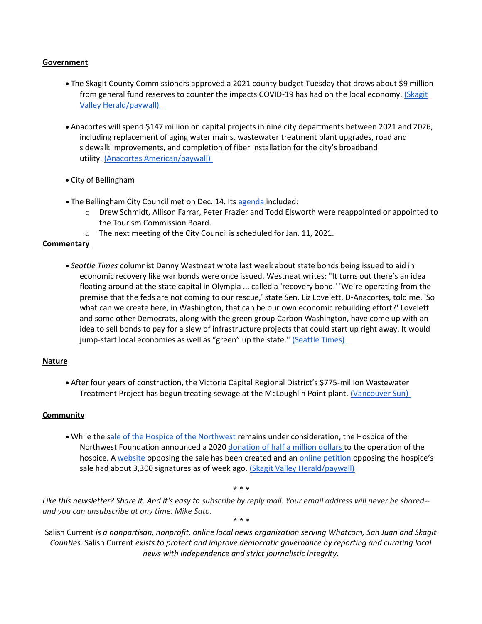#### **Government**

- The Skagit County Commissioners approved a 2021 county budget Tuesday that draws about \$9 million from general fund reserves to counter the impacts COVID-19 has had on the local economy. [\(Skagit](https://www.goskagit.com/news/local_news/county-commissioners-approve-2021-budget/article_c798c679-6eac-56bb-90b1-869e9475431a.html)  [Valley Herald/paywall\)](https://www.goskagit.com/news/local_news/county-commissioners-approve-2021-budget/article_c798c679-6eac-56bb-90b1-869e9475431a.html)
- Anacortes will spend \$147 million on capital projects in nine city departments between 2021 and 2026, including replacement of aging water mains, wastewater treatment plant upgrades, road and sidewalk improvements, and completion of fiber installation for the city's broadband utility. [\(Anacortes American/paywall\)](https://www.goskagit.com/anacortes/news/city-plans-147-million-in-capital-improvements-from-2021-26/article_3fd0943c-3fac-11eb-8fe4-57d8dcad9a74.html)
- City of Bellingham
- The Bellingham City Council met on Dec. 14. Its [agenda](https://meetings.cob.org/Meetings/ViewMeeting?id=2361&doctype=3) included:
	- o Drew Schmidt, Allison Farrar, Peter Frazier and Todd Elsworth were reappointed or appointed to the Tourism Commission Board.
	- o The next meeting of the City Council is scheduled for Jan. 11, 2021.

## **Commentary**

• *Seattle Times* columnist Danny Westneat wrote last week about state bonds being issued to aid in economic recovery like war bonds were once issued. Westneat writes: "It turns out there's an idea floating around at the state capital in Olympia ... called a 'recovery bond.' 'We're operating from the premise that the feds are not coming to our rescue,' state Sen. Liz Lovelett, D-Anacortes, told me. 'So what can we create here, in Washington, that can be our own economic rebuilding effort?' Lovelett and some other Democrats, along with the green group Carbon Washington, have come up with an idea to sell bonds to pay for a slew of infrastructure projects that could start up right away. It would jump-start local economies as well as "green" up the state." [\(Seattle Times\)](https://www.seattletimes.com/seattle-news/politics/war-bonds-with-federal-help-awol-heres-a-way-we-could-dig-ourselves-out-of-the-pandemic/)

## **Nature**

• After four years of construction, the Victoria Capital Regional District's \$775-million Wastewater Treatment Project has begun treating sewage at the McLoughlin Point plant. [\(Vancouver Sun\)](https://vancouversun.com/news/local-news/i-was-wondering-why-the-water-looked-so-clean-victorias-sewage-treatment-plant-up-and-running)

## **Community**

• While the [sale of the Hospice of the Northwest](https://salish-current.org/2020/11/13/possible-hospice-sale-sparks-concerns-in-san-juans-about-changes-in-end-of-life-care/) remains under consideration, the Hospice of the Northwest Foundation announced a 2020 [donation of half a million dollars](https://sanjuanupdate.com/2020/12/donations-support-local-hospice/) to the operation of the hospice. A [website](http://savehnw.org/) opposing the sale has been created and an [online petition](https://www.change.org/p/public-hospital-district-304-keep-hospice-of-the-northwest-locally-owned-and-operated) opposing the hospice's sale had about 3,300 signatures as of week ago. [\(Skagit Valley Herald/paywall\)](https://www.goskagit.com/news/local_news/hospice-of-the-northwest-sale-still-being-considered/article_54503e13-681d-5fda-a31a-2a0e1cd2d0e0.html)

*\* \* \**

*Like this newsletter? Share it. And it's easy to subscribe by reply mail. Your email address will never be shared- and you can unsubscribe at any time. Mike Sato.*

*\* \* \**

Salish Current *is a nonpartisan, nonprofit, online local news organization serving Whatcom, San Juan and Skagit Counties.* Salish Current *exists to protect and improve democratic governance by reporting and curating local news with independence and strict journalistic integrity.*